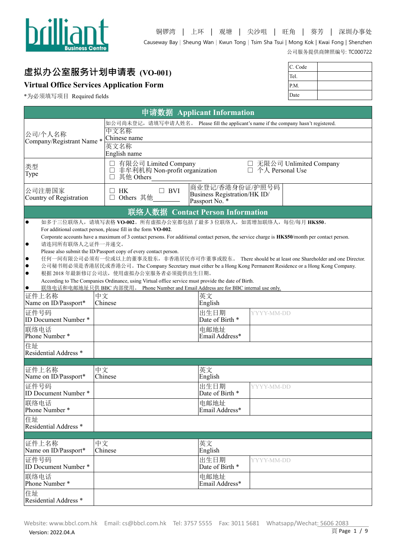

# **虚拟办公室服务计划申请表 (VO-001)**

# **Virtual Office Services Application Form**

\*为必须填写项目 Required fields

| C. Code |  |
|---------|--|
| Tel.    |  |
| P.M.    |  |
| Date    |  |

|                                  |                                                                                                                                               | 申请数据 Applicant Information   |                   |                          |
|----------------------------------|-----------------------------------------------------------------------------------------------------------------------------------------------|------------------------------|-------------------|--------------------------|
|                                  | 如公司尚未登记,请填写申请人姓名。 Please fill the applicant's name if the company hasn't registered.                                                          |                              |                   |                          |
| 公司/个人名称                          | 中文名称                                                                                                                                          |                              |                   |                          |
| Company/Registrant Name*         | Chinese name                                                                                                                                  |                              |                   |                          |
|                                  | 英文名称                                                                                                                                          |                              |                   |                          |
|                                  | English name                                                                                                                                  |                              |                   |                          |
| 类型                               | □ 有限公司 Limited Company<br>□ 非牟利机构 Non-profit organization                                                                                     |                              | □ 个人 Personal Use | □ 无限公司 Unlimited Company |
| Type                             | □ 其他 Others                                                                                                                                   |                              |                   |                          |
|                                  |                                                                                                                                               | 商业登记/香港身份证/护照号码              |                   |                          |
| 公司注册国家                           | $\Box$ BVI<br>$\Box$<br>HK                                                                                                                    | Business Registration/HK ID/ |                   |                          |
| Country of Registration          | Others 其他<br>$\Box$                                                                                                                           | Passport No. <sup>*</sup>    |                   |                          |
|                                  | 联络人数据 Contact Person Information                                                                                                              |                              |                   |                          |
| $\bullet$                        | 如多于三位联络人,请填写表格 VO-002。所有虚拟办公室都包括了最多3位联络人,如需增加联络人,每位/每月 HK\$50。                                                                                |                              |                   |                          |
|                                  | For additional contact person, please fill in the form VO-002.                                                                                |                              |                   |                          |
|                                  | Corporate accounts have a maximum of 3 contact persons. For additional contact person, the service charge is HK\$50/month per contact person. |                              |                   |                          |
| 请连同所有联络人之证件一并递交。<br>$\bullet$    | Please also submit the ID/Passport copy of every contact person.                                                                              |                              |                   |                          |
| $\bullet$                        | 任何一间有限公司必须有一位或以上的董事及股东,非香港居民亦可作董事或股东。 There should be at least one Shareholder and one Director.                                              |                              |                   |                          |
| $\bullet$                        | 公司秘书则必须是香港居民或香港公司。The Company Secretary must either be a Hong Kong Permanent Residence or a Hong Kong Company.                                |                              |                   |                          |
| $\bullet$                        | 根据 2018年最新修订公司法, 使用虚拟办公室服务者必须提供出生日期。                                                                                                          |                              |                   |                          |
|                                  | According to The Companies Ordinance, using Virtual office service must provide the date of Birth.                                            |                              |                   |                          |
| $\bullet$<br>证件上名称               | 联络电话和电邮地址只供 BBC 内部使用。 Phone Number and Email Address are for BBC internal use only.<br>中文                                                     |                              |                   |                          |
| Name on ID/Passport*             | Chinese                                                                                                                                       | 英文<br>English                |                   |                          |
| 证件号码                             |                                                                                                                                               | 出生日期                         | YYYY-MM-DD        |                          |
| ID Document Number *             |                                                                                                                                               | Date of Birth *              |                   |                          |
| 联络电话                             |                                                                                                                                               | 电邮地址                         |                   |                          |
| Phone Number *                   |                                                                                                                                               | Email Address*               |                   |                          |
| 住址                               |                                                                                                                                               |                              |                   |                          |
| Residential Address <sup>*</sup> |                                                                                                                                               |                              |                   |                          |
|                                  |                                                                                                                                               |                              |                   |                          |
| 证件上名称                            | 中文                                                                                                                                            | 英文                           |                   |                          |
| Name on ID/Passport*             | Chinese                                                                                                                                       | English                      |                   |                          |
| 证件号码<br>ID Document Number *     |                                                                                                                                               | 出生日期<br>Date of Birth *      | YYYY-MM-DD        |                          |
|                                  |                                                                                                                                               |                              |                   |                          |
| 联络电话<br>Phone Number *           |                                                                                                                                               | 电邮地址<br>Email Address*       |                   |                          |
| 住址                               |                                                                                                                                               |                              |                   |                          |
| Residential Address <sup>*</sup> |                                                                                                                                               |                              |                   |                          |
|                                  |                                                                                                                                               |                              |                   |                          |
| 证件上名称                            | 中文                                                                                                                                            | 英文                           |                   |                          |
| Name on ID/Passport*             | Chinese                                                                                                                                       | English                      |                   |                          |
| 证件号码                             |                                                                                                                                               | 出生日期                         | YYYY-MM-DD        |                          |
| ID Document Number *             |                                                                                                                                               | Date of Birth *              |                   |                          |
| 联络电话                             |                                                                                                                                               | 电邮地址                         |                   |                          |
| Phone Number *                   |                                                                                                                                               | Email Address*               |                   |                          |
| 住址                               |                                                                                                                                               |                              |                   |                          |
| Residential Address <sup>*</sup> |                                                                                                                                               |                              |                   |                          |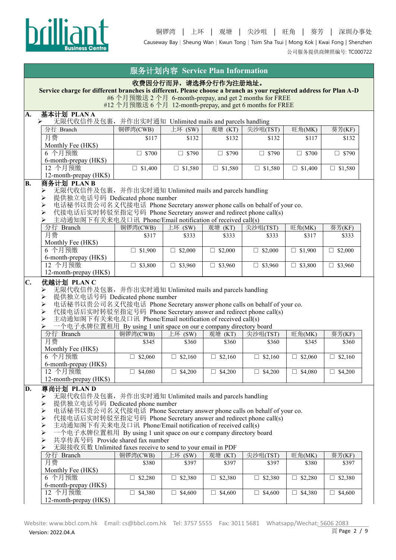

公司服务提供商牌照编号: TC000722

|    |                                                                                                                                                                                                                                                                                                                                                                                                                                                                                                                                                                                             |                                                                                                                      | 服务计划内容 Service Plan Information |                   |                   |                   |                   |
|----|---------------------------------------------------------------------------------------------------------------------------------------------------------------------------------------------------------------------------------------------------------------------------------------------------------------------------------------------------------------------------------------------------------------------------------------------------------------------------------------------------------------------------------------------------------------------------------------------|----------------------------------------------------------------------------------------------------------------------|---------------------------------|-------------------|-------------------|-------------------|-------------------|
|    | Service charge for different branches is different. Please choose a branch as your registered address for Plan A-D                                                                                                                                                                                                                                                                                                                                                                                                                                                                          | #6 个月预缴送 2 个月 6-month-prepay, and get 2 months for FREE<br>#12 个月预缴送 6 个月 12-month-prepay, and get 6 months for FREE | 收费因分行而异,请选择分行作为注册地址。            |                   |                   |                   |                   |
| A. | 基本计划 PLANA                                                                                                                                                                                                                                                                                                                                                                                                                                                                                                                                                                                  |                                                                                                                      |                                 |                   |                   |                   |                   |
|    | 无限代收信件及包裹, 并作出实时通知 Unlimited mails and parcels handling<br>➤                                                                                                                                                                                                                                                                                                                                                                                                                                                                                                                                |                                                                                                                      |                                 |                   |                   |                   |                   |
|    | 分行 Branch                                                                                                                                                                                                                                                                                                                                                                                                                                                                                                                                                                                   | 铜锣湾(CWB)                                                                                                             | 上环 $(SW)$                       | 观塘 (KT)           | 尖沙咀(TST)          | 旺角(MK)            | 葵芳(KF)            |
|    | 月费<br>Monthly Fee (HK\$)                                                                                                                                                                                                                                                                                                                                                                                                                                                                                                                                                                    | \$117                                                                                                                | \$132                           | \$132             | \$132             | \$117             | \$132             |
|    | 6 个月预缴<br>6-month-prepay (HK\$)                                                                                                                                                                                                                                                                                                                                                                                                                                                                                                                                                             | $\square$ \$700                                                                                                      | $\square$ \$790                 | $\square$ \$790   | $\Box$ \$790      | $\square$ \$700   | $\square$ \$790   |
|    | 12 个月预缴<br>12-month-prepay (HK\$)                                                                                                                                                                                                                                                                                                                                                                                                                                                                                                                                                           | $\Box$ \$1,400                                                                                                       | $\Box$ \$1,580                  | \$1,580<br>$\Box$ | $\Box$ \$1,580    | \$1,400<br>$\Box$ | $\Box$ \$1,580    |
| B. | 商务计划 PLAN B<br>无限代收信件及包裹, 并作出实时通知 Unlimited mails and parcels handling<br>➤<br>提供独立电话号码 Dedicated phone number<br>➤<br>电话秘书以贵公司名义代接电话 Phone Secretary answer phone calls on behalf of your co.<br>➤<br>代接电话后实时转驳至指定号码 Phone Secretary answer and redirect phone call(s)<br>⋗<br>主动通知阁下有关来电及口讯 Phone/Email notification of received call(s)                                                                                                                                                                                                                                                  |                                                                                                                      |                                 |                   |                   |                   |                   |
|    | 分行 Branch                                                                                                                                                                                                                                                                                                                                                                                                                                                                                                                                                                                   | 铜锣湾(CWB)                                                                                                             | 上环 (SW)                         | 观塘 (KT)           | 尖沙咀(TST)          | 旺角(MK)            | 葵芳(KF)            |
|    | 月费                                                                                                                                                                                                                                                                                                                                                                                                                                                                                                                                                                                          | \$317                                                                                                                | \$333                           | \$333             | \$333             | \$317             | \$333             |
|    | Monthly Fee (HK\$)<br>6 个月预缴                                                                                                                                                                                                                                                                                                                                                                                                                                                                                                                                                                | $\Box$ \$1,900                                                                                                       | $\Box$ \$2,000                  | $\Box$ \$2,000    | \$2,000<br>$\Box$ | $\Box$ \$1,900    | $\Box$ \$2,000    |
|    | 6-month-prepay (HK\$)<br>12 个月预缴<br>12-month-prepay (HK\$)                                                                                                                                                                                                                                                                                                                                                                                                                                                                                                                                  | $\Box$ \$3,800                                                                                                       | $\Box$ \$3,960                  | $\Box$ \$3,960    | $\Box$ \$3,960    | $\Box$ \$3,800    | $\square$ \$3,960 |
|    | 电话秘书以贵公司名义代接电话 Phone Secretary answer phone calls on behalf of your co.<br>$\blacktriangleright$<br>代接电话后实时转驳至指定号码 Phone Secretary answer and redirect phone call(s)<br>$\blacktriangleright$<br>$\blacktriangleright$<br>主动通知阁下有关来电及口讯 Phone/Email notification of received call(s)<br>一个电子水牌位置租用 By using 1 unit space on our e company directory board<br>➤                                                                                                                                                                                                                              |                                                                                                                      |                                 |                   |                   |                   |                   |
|    | 分行 Branch                                                                                                                                                                                                                                                                                                                                                                                                                                                                                                                                                                                   | 铜锣湾(CWB)                                                                                                             | $E$ 环 (SW)                      | 观塘 (KT)           | 尖沙咀(TST)          | 旺角(MK)            | 葵芳(KF)            |
|    | 月费<br>Monthly Fee (HK\$)                                                                                                                                                                                                                                                                                                                                                                                                                                                                                                                                                                    | \$345                                                                                                                | \$360                           | \$360             | \$360             | \$345             | \$360             |
|    | 6 个月预缴                                                                                                                                                                                                                                                                                                                                                                                                                                                                                                                                                                                      | $\square$ \$2,060                                                                                                    | $\Box$ \$2,160                  | $\Box$ \$2,160    | $\Box$ \$2,160    | $\square$ \$2,060 | $\Box$ \$2,160    |
|    | 6-month-prepay (HK\$)<br>12 个月预缴<br>12-month-prepay (HK\$)                                                                                                                                                                                                                                                                                                                                                                                                                                                                                                                                  | $\Box$ \$4,080                                                                                                       | \$4,200<br>$\Box$               | \$4,200<br>□      | $\Box$ \$4,200    | $\Box$ \$4,080    | \$4,200<br>$\Box$ |
| D. | 尊尚计划 PLAN D<br>无限代收信件及包裹, 并作出实时通知 Unlimited mails and parcels handling<br>➤<br>提供独立电话号码 Dedicated phone number<br>⋗<br>电话秘书以贵公司名义代接电话 Phone Secretary answer phone calls on behalf of your co.<br>$\blacktriangleright$<br>$\blacktriangleright$<br>代接电话后实时转驳至指定号码 Phone Secretary answer and redirect phone call(s)<br>主动通知阁下有关来电及口讯 Phone/Email notification of received call(s)<br>➤<br>➤<br>一个电子水牌位置租用 By using 1 unit space on our e company directory board<br>共享传真号码 Provide shared fax number<br>⋗<br>无限接收页数 Unlimited faxes receive to send to your email in PDF<br>⋗<br>分行 Branch | 铜锣湾(CWB)                                                                                                             | 上环 (SW)                         | 观塘 (KT)           | 尖沙咀(TST)          | 旺角(MK)            | 葵芳(KF)            |
|    | 月费                                                                                                                                                                                                                                                                                                                                                                                                                                                                                                                                                                                          | \$380                                                                                                                | \$397                           | \$397             | \$397             | \$380             | \$397             |
|    | Monthly Fee (HK\$)<br>6 个月预缴                                                                                                                                                                                                                                                                                                                                                                                                                                                                                                                                                                | \$2,280<br>$\Box$                                                                                                    | \$2,380<br>□.                   | \$2,380<br>$\Box$ | $\square$ \$2,380 | 52,280<br>$\Box$  | \$2,380<br>$\Box$ |
|    | 6-month-prepay (HK\$)<br>12 个月预缴                                                                                                                                                                                                                                                                                                                                                                                                                                                                                                                                                            |                                                                                                                      |                                 |                   |                   |                   |                   |
|    | 12-month-prepay (HK\$)                                                                                                                                                                                                                                                                                                                                                                                                                                                                                                                                                                      | $\Box$ \$4,380                                                                                                       | $\Box$ \$4,600                  | $\Box$ \$4,600    | $\Box$ \$4,600    | $\Box$ \$4,380    | $\Box$ \$4,600    |
|    |                                                                                                                                                                                                                                                                                                                                                                                                                                                                                                                                                                                             |                                                                                                                      |                                 |                   |                   |                   |                   |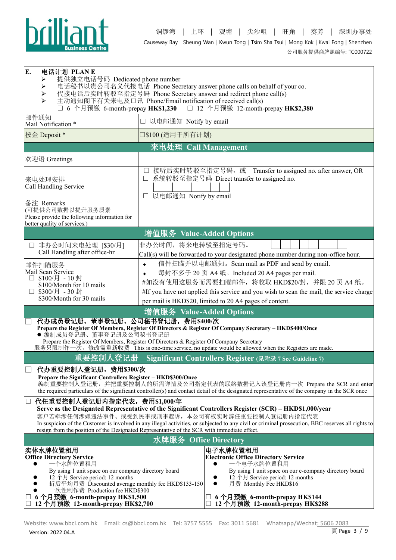

| E.<br>电话计划 PLAN E<br>提供独立电话号码 Dedicated phone number<br>➤<br>$\blacktriangleright$<br>➤<br>↘                                                                                                                                                                                                                           | 电话秘书以贵公司名义代接电话 Phone Secretary answer phone calls on behalf of your co.<br>代接电话后实时转驳至指定号码 Phone Secretary answer and redirect phone call(s)<br>主动通知阁下有关来电及口讯 Phone/Email notification of received call(s)<br>6 个月预缴 6-month-prepay HK\$1,230 □ 12 个月预缴 12-month-prepay HK\$2,380                                                                                                                               |
|------------------------------------------------------------------------------------------------------------------------------------------------------------------------------------------------------------------------------------------------------------------------------------------------------------------------|----------------------------------------------------------------------------------------------------------------------------------------------------------------------------------------------------------------------------------------------------------------------------------------------------------------------------------------------------------------------------------------------------------------|
| 邮件通知<br>Mail Notification *                                                                                                                                                                                                                                                                                            | □ 以电邮通知 Notify by email                                                                                                                                                                                                                                                                                                                                                                                        |
| 按金 Deposit *                                                                                                                                                                                                                                                                                                           | □\$100 (适用于所有计划)                                                                                                                                                                                                                                                                                                                                                                                               |
|                                                                                                                                                                                                                                                                                                                        | 来电处理 Call Management                                                                                                                                                                                                                                                                                                                                                                                           |
| 欢迎语 Greetings                                                                                                                                                                                                                                                                                                          |                                                                                                                                                                                                                                                                                                                                                                                                                |
| 来电处理安排<br>Call Handling Service                                                                                                                                                                                                                                                                                        | 接听后实时转驳至指定号码, 或 Transfer to assigned no. after answer, OR<br>□ 系统转驳至指定号码 Direct transfer to assigned no.<br>以电邮通知 Notify by email                                                                                                                                                                                                                                                                              |
| 备注 Remarks<br>(可提供公司数据以提升服务质素<br>Please provide the following information for<br>better quality of services.)                                                                                                                                                                                                          |                                                                                                                                                                                                                                                                                                                                                                                                                |
|                                                                                                                                                                                                                                                                                                                        | 增值服务 Value-Added Options                                                                                                                                                                                                                                                                                                                                                                                       |
| 非办公时间来电处理 [\$30/月]<br>Call Handling after office-hr                                                                                                                                                                                                                                                                    | 非办公时间, 将来电转驳至指定号码。<br>Call(s) will be forwarded to your designated phone number during non-office hour.                                                                                                                                                                                                                                                                                                        |
| 邮件扫瞄服务<br>Mail Scan Service<br>\$100/月 - 10 封<br>$\perp$<br>\$100/Month for 10 mails<br>□ \$300/月 - 30 封<br>\$300/Month for 30 mails                                                                                                                                                                                   | 信件扫瞄并以电邮通知。Scan mail as PDF and send by email.<br>$\bullet$<br>每封不多于 20 页 A4 纸。Included 20 A4 pages per mail.<br>$\bullet$<br>#如没有使用这服务而需要扫瞄邮件, 将收取 HKD\$20/封, 并限 20 页 A4 纸。<br>#If you have not applied this service and you wish to scan the mail, the service charge<br>per mail is HKD\$20, limited to 20 A4 pages of content.                                                                             |
|                                                                                                                                                                                                                                                                                                                        | 增值服务 Value-Added Options                                                                                                                                                                                                                                                                                                                                                                                       |
| 代办成员登记册、董事登记册、公司秘书登记册,费用\$400/次<br>● 编制成员登记册、董事登记册及公司秘书登记册                                                                                                                                                                                                                                                             | Prepare the Register Of Members, Register Of Directors & Register Of Company Secretary - HKD\$400/Once<br>Prepare the Register Of Members, Register Of Directors & Register Of Company Secretary<br>服务只限制作一次, 修改需重新收费 This is one-time service, no update would be allowed when the Registers are made.                                                                                                        |
| 重要控制人登记册                                                                                                                                                                                                                                                                                                               | Significant Controllers Register (见附录 7 See Guideline 7)                                                                                                                                                                                                                                                                                                                                                       |
| 代办重要控制人登记册, 费用\$300/次<br>Prepare the Significant Controllers Register - HKD\$300/Once                                                                                                                                                                                                                                  | 编制重要控制人登记册, 并把重要控制人的所需详情及公司指定代表的联络数据记入该登记册内一次 Prepare the SCR and enter<br>the required particulars of the significant controller(s) and contact detail of the designated representative of the company in the SCR once                                                                                                                                                                                        |
| 代任重要控制人登记册内指定代表, 费用\$1,000/年<br>$\Box$                                                                                                                                                                                                                                                                                 | Serve as the Designated Representative of the Significant Controllers Register (SCR) - HKD\$1,000/year<br>客户若牵涉任何涉嫌违法事件、或受到民事或刑事起诉, 本公司有权实时辞任重要控制人登记册内指定代表<br>In suspicion of the Customer is involved in any illegal activities, or subjected to any civil or criminal prosecution, BBC reserves all rights to<br>resign from the position of the Designated Representative of the SCR with immediate effect. |
|                                                                                                                                                                                                                                                                                                                        | 水牌服务 Office Directory                                                                                                                                                                                                                                                                                                                                                                                          |
| 实体水牌位置租用<br><b>Office Directory Service</b><br>一个水牌位置租用<br>By using 1 unit space on our company directory board<br>12 个月 Service period: 12 months<br>折后平均月费 Discounted average monthly fee HKD\$133-150<br>一次性制作费 Production fee HKD\$300<br>□ 6 个月预缴 6-month-prepay HK\$1,500<br>□ 12 个月预缴 12-month-prepay HK\$2,700 | 电子水牌位置租用<br><b>Electronic Office Directory Service</b><br>一个电子水牌位置租用<br>By using 1 unit space on our e-company directory board<br>12 个月 Service period: 12 months<br>月费 Monthly Fee HKD\$16<br>$\bullet$<br>6个月预缴 6-month-prepay HK\$144<br>□ 12个月预缴 12-month-prepay HK\$288                                                                                                                                   |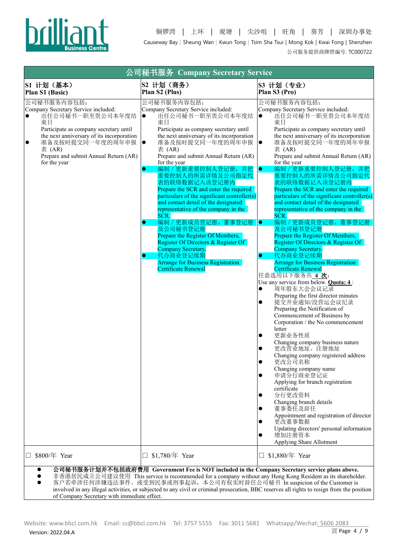

|                                                                                                                                                                                                                                                                                      | 公司秘书服务 Company Secretary Service                                                                                                                                                                                                                                                                                                                                                                                                                                                                                                                                                                                           |                                                                                                                                                                                                                                                                                                                                                                                                                                                                                                                                                                                                                                    |
|--------------------------------------------------------------------------------------------------------------------------------------------------------------------------------------------------------------------------------------------------------------------------------------|----------------------------------------------------------------------------------------------------------------------------------------------------------------------------------------------------------------------------------------------------------------------------------------------------------------------------------------------------------------------------------------------------------------------------------------------------------------------------------------------------------------------------------------------------------------------------------------------------------------------------|------------------------------------------------------------------------------------------------------------------------------------------------------------------------------------------------------------------------------------------------------------------------------------------------------------------------------------------------------------------------------------------------------------------------------------------------------------------------------------------------------------------------------------------------------------------------------------------------------------------------------------|
| S1 计划 (基本)<br>Plan S1 (Basic)                                                                                                                                                                                                                                                        | S2 计划 (商务)<br>Plan S2 (Plus)                                                                                                                                                                                                                                                                                                                                                                                                                                                                                                                                                                                               | S3 计划 (专业)<br>Plan S3 (Pro)                                                                                                                                                                                                                                                                                                                                                                                                                                                                                                                                                                                                        |
| 公司秘书服务内容包括:<br>Company Secretary Service included:<br>出任公司秘书一职至贵公司本年度结<br>$\bullet$<br>東日<br>Participate as company secretary until<br>the next anniversary of its incorporation<br>准备及按时提交同一年度的周年申报<br>$\bullet$<br>表 (AR)<br>Prepare and submit Annual Return (AR)<br>for the year | 公司秘书服务内容包括:<br>Company Secretary Service included:<br>出任公司秘书一职至贵公司本年度结<br>$\bullet$<br>東日<br>Participate as company secretary until<br>the next anniversary of its incorporation<br>准备及按时提交同一年度的周年申报<br>$\bullet$<br>表 (AR)<br>Prepare and submit Annual Return (AR)<br>for the year<br>编制 / 更新重要控制人登记册, 并把<br>$\bullet$<br>重要控制人的所需详情及公司指定代<br>表的联络数据记入该登记册内<br>Prepare the SCR and enter the required<br>particulars of the significant controller(s)<br>and contact detail of the designated<br>representative of the company in the<br>SCR.<br>编制 / 更新成员登记册、董事登记册<br>э<br>及公司秘书登记册<br>Prepare the Register Of Members, | 公司秘书服务内容包括:<br>Company Secretary Service included:<br>出任公司秘书一职至贵公司本年度结<br>$\bullet$<br>東日<br>Participate as company secretary until<br>the next anniversary of its incorporation<br>准备及按时提交同一年度的周年申报<br>$\bullet$<br>表 (AR)<br>Prepare and submit Annual Return (AR)<br>for the year<br>编制 / 更新重要控制人登记册, 并把<br>$\bullet$<br>重要控制人的所需详情及公司指定代<br>表的联络数据记入该登记册内<br>Prepare the SCR and enter the required<br>particulars of the significant controller(s)<br>and contact detail of the designated<br>representative of the company in the<br>SCR.<br>编制 / 更新成员登记册、董事登记册<br>$\bullet$<br>及公司秘书登记册<br>Prepare the Register Of Members, |
|                                                                                                                                                                                                                                                                                      | Register Of Directors & Register Of<br>Company Secretary.<br>代办商业登记续期<br>0<br><b>Arrange for Business Registration</b><br>Certificate Renewal                                                                                                                                                                                                                                                                                                                                                                                                                                                                              | Register Of Directors & Register Of<br>Company Secretary.<br>代办商业登记续期<br>$\bullet$<br><b>Arrange for Business Registration</b><br><b>Certificate Renewal</b><br>任意选用以下服务共 4 次:<br>Use any service from below. <b>Quota: 4</b> :<br>周年股东大会会议记录<br>$\bullet$<br>Preparing the first director minutes<br>提交开业通知/没营运会议纪录<br>$\bullet$<br>Preparing the Notification of<br>Commencement of Business by<br>Corporation / the No commencement<br>letter<br>更新业务性质<br>$\bullet$<br>Changing company business nature                                                                                                                        |
|                                                                                                                                                                                                                                                                                      |                                                                                                                                                                                                                                                                                                                                                                                                                                                                                                                                                                                                                            | 更改营业地址、注册地址<br>$\bullet$<br>Changing company registered address<br>更改公司名称<br>$\bullet$<br>Changing company name<br>申请分行商业登记证<br>Applying for branch registration<br>certificate<br>分行更改资料<br>Changing branch details<br>董事委任及辞任<br>Appointment and registration of director<br>更改董事数据<br>Updating directors' personal information<br>增加注册资本<br>Applying Share Allotment                                                                                                                                                                                                                                                            |
| \$800/年 Year<br>□.                                                                                                                                                                                                                                                                   | □ \$1,780/年 Year                                                                                                                                                                                                                                                                                                                                                                                                                                                                                                                                                                                                           | □ \$1,880/年 Year                                                                                                                                                                                                                                                                                                                                                                                                                                                                                                                                                                                                                   |
|                                                                                                                                                                                                                                                                                      | 公司秘书服务计划并不包括政府费用 Government Fee is NOT included in the Company Secretary service plans above.<br>非香港居民成立公司建议使用 This service is recommended for a company without any Hong Kong Resident as its shareholder.<br>客户若牵涉任何涉嫌违法事件、或受到民事或刑事起诉, 本公司有权实时辞任公司秘书 In suspicion of the Customer is<br>involved in any illegal activities, or subjected to any civil or criminal prosecution, BBC reserves all rights to resign from the position                                                                                                                                                                                       |                                                                                                                                                                                                                                                                                                                                                                                                                                                                                                                                                                                                                                    |

of Company Secretary with immediate effect.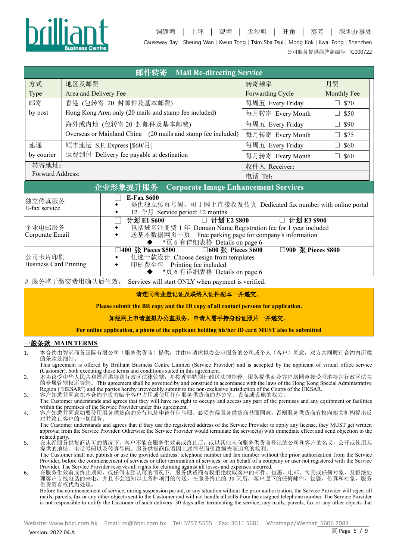

铜锣湾 | 上环 | 观塘 | 尖沙咀 | 旺角 | 葵芳 | 深圳办事处 Causeway Bay <sup>|</sup> Sheung Wan <sup>|</sup> Kwun Tong <sup>|</sup> Tsim Sha Tsui | Mong Kok | Kwai Fong | Shenzhen 公司服务提供商牌照编号: TC000722

|                                                                                                                                                                                                                                      | 邮件转寄 Mail Re-directing Service                                                                                        |                                                                                                                                                                                      |                                  |  |  |
|--------------------------------------------------------------------------------------------------------------------------------------------------------------------------------------------------------------------------------------|-----------------------------------------------------------------------------------------------------------------------|--------------------------------------------------------------------------------------------------------------------------------------------------------------------------------------|----------------------------------|--|--|
| 方式                                                                                                                                                                                                                                   | 地区及邮费                                                                                                                 | 转寄频率                                                                                                                                                                                 | 月费                               |  |  |
| <b>Type</b>                                                                                                                                                                                                                          | Area and Delivery Fee                                                                                                 | Forwarding Cycle                                                                                                                                                                     | Monthly Fee                      |  |  |
| 邮寄                                                                                                                                                                                                                                   | 香港 (包转寄 20 封邮件及基本邮费)                                                                                                  | 每周五 Every Friday                                                                                                                                                                     | \$70<br>$\Box$                   |  |  |
| by post                                                                                                                                                                                                                              | Hong Kong Area only (20 mails and stamp fee included)                                                                 | 每月转寄 Every Month                                                                                                                                                                     | \$50<br>$\overline{\phantom{0}}$ |  |  |
|                                                                                                                                                                                                                                      | 海外或内地 (包转寄 20 封邮件及基本邮费)                                                                                               | 每周五 Every Friday                                                                                                                                                                     | \$90<br>$\Box$                   |  |  |
|                                                                                                                                                                                                                                      | Overseas or Mainland China (20 mails and stamp fee included)                                                          | 每月转寄 Every Month                                                                                                                                                                     | \$75<br>$\overline{\phantom{0}}$ |  |  |
| 速递                                                                                                                                                                                                                                   | 顺丰速运 S.F. Express [\$60/月]                                                                                            | 每周五 Every Friday                                                                                                                                                                     | \$60                             |  |  |
| by courier                                                                                                                                                                                                                           | 运费到付 Delivery fee payable at destination                                                                              | 每月转寄 Every Month                                                                                                                                                                     | \$60<br>ш                        |  |  |
| 转寄地址:                                                                                                                                                                                                                                |                                                                                                                       | 收件人 Receiver:                                                                                                                                                                        |                                  |  |  |
| Forward Address:                                                                                                                                                                                                                     |                                                                                                                       | 电话 Tel:                                                                                                                                                                              |                                  |  |  |
|                                                                                                                                                                                                                                      | 企业形象提升服务<br><b>Corporate Image Enhancement Services</b>                                                               |                                                                                                                                                                                      |                                  |  |  |
| 独立传真服务<br>E-fax service                                                                                                                                                                                                              | <b>E-Fax \$600</b><br>提供独立传真号码, 可于网上直接收发传真 Dedicated fax number with online portal<br>12 个月 Service period: 12 months |                                                                                                                                                                                      |                                  |  |  |
| 企业电邮服务<br>Corporate Email                                                                                                                                                                                                            | 计划 E1 \$600<br>٠                                                                                                      | □ 计划 E2 \$800<br>计划 E3 \$900<br>包括域名注册费 1年 Domain Name Registration fee for 1 year included<br>送基本数据网页一页 Free parking page for company's information<br>*页 6 有详细表格 Details on page 6 |                                  |  |  |
| $\Box$ 900 <b>K</b> Pieces \$800<br>□400 张 Pieces \$500<br>□600 张 Pieces \$600<br>公司卡片印刷<br>任选一款设计 Choose design from templates<br><b>Business Card Printing</b><br>印刷费全包 Printing fee included<br>٠<br>*页 6 有详细表格 Details on page 6 |                                                                                                                       |                                                                                                                                                                                      |                                  |  |  |

# 服务将于缴交费用确认后生效。 Services will start ONLY when payment is verified.

#### 请连同商业登记证及联络人证件副本一并递交。

**Please submit the BR copy and the ID copy of all contact persons for application.**

如经网上申请虚拟办公室服务,申请人需手持身份证照片一并递交。

**For online application, a photo of the applicant holding his/her ID card MUST also be submitted**

#### 一般条款 **MAIN TERMS**

1. 本合约由智尚商务国际有限公司(服务供货商)提供,并由申请虚拟办公室服务的公司或个人(客户)同意,双方共同履行合约内所载 的条款及细则。

This agreement is offered by Brilliant Business Centre Limited (Service Provider) and is accepted by the applicant of virtual office service (Customer), both executing those terms and conditions stated in this agreement.

- 2. 本协议受中华人民共和国香港特别行政区法律管辖,并按香港特别行政区法律阐释,服务提供商及客户均同意接受香港特别行政区法院 的专属管辖权所管辖。This agreement shall be governed by and construed in accordance with the laws of the Hong Kong Special Administrative Region ("HKSAR") and the parties hereby irrevocably submit to the non-exclusive jurisdiction of the Courts of the HKSAR.
- 3. 客户知悉并同意在本合约中没有赋予客户占用或使用任何服务供货商的办公室、设备或设施的权力。
- The Customer understands and agrees that they will have no right to occupy and access any part of the premises and any equipment or facilities within the premises of the Service Provider under this agreement.
- 4. 客户知悉并同意如要使用服务供货商的分行地址申请任何牌照, 必须先得服务供货商书面同意, 否则服务供货商有权向相关机构提出反 对并终止客户的一切服务。

The Customer understands and agrees that if they use the registered address of the Service Provider to apply any license, they MUST get written approval from the Service Provider. Otherwise the Service Provider would terminate the service(s) with immediate effect and send objection to the related party.

5. 在未经服务供货商认可的情况下,客户不能在服务生效前或终止后,或以其他未向服务供货商登记的公司和客户的名义,公开或使用其 提供的地址、电话号码以及传真号码。服务供货商保留因上述情况而引致损失而追究的权利。

The Customer shall not publish or use the provided address, telephone number and fax number without the prior authorization from the Service Provider, before the commencement of services or after termination of services, or on behalf of a company or user not registered with the Service Provider. The Service Provider reserves all rights for claiming against all losses and expenses incurred.

6. 在服务生效前或终止期间,或任何未经认可的情况下,服务供货商有权拒绝收取客户的邮件、包裹、电邮、传真或任何对象,及拒绝处 理客户专线电话的来电,并且不会通知以上各种项目的传送。在服务终止的 30 天后,客户遗下的任何邮件、包裹、传真和对象,服务 供货商有权代为处理。

Before the commencement of service, during suspension period, or any situation without the prior authorization, the Service Provider will reject all mails, parcels, fax or any other objects sent to the Customer and will not handle all calls from the assigned telephone number. The Service Provider is not responsible to notify the Customer of such delivery. 30 days after terminating the service, any mails, parcels, fax or any other objects that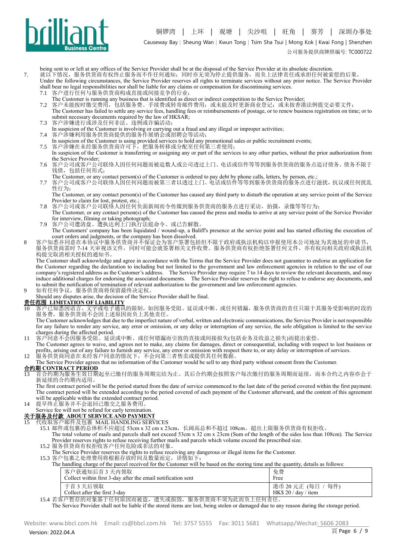

Causeway Bay <sup>|</sup> Sheung Wan <sup>|</sup> Kwun Tong <sup>|</sup> Tsim Sha Tsui | Mong Kok | Kwai Fong | Shenzhen

公司服务提供商牌照编号: TC000722

being sent to or left at any offices of the Service Provider shall be at the disposal of the Service Provider at its absolute discretion.

7. 就以下情况,服务供货商有权终止服务而不作任何通知;同时亦无须为停止提供服务,而负上法律责任或承担任何被索偿的后果。 Under the following circumstances, the Service Provider reserves all rights to terminate services without any prior notice. The Service Provider shall bear no legal responsibilities nor shall be liable for any claims or compensation for discontinuing services.<br>7.1 客户进行任何与服务供货商构成直接或间接竞争的行业;

- 客户进行任何与服务供货商构成直接或间接竞争的行业;
- The Customer is running any business that is identified as direct or indirect competition to the Service Provider;

客户未能按时缴交费用,包括服务费、手续费或转寄邮件费用;或未能及时更新商业登记;或未按香港法例提交必要文件; The Customer has failed to settle any service fees, handling fees or reimbursements of postage, or to renew business registration on time; or to submit necessary documents required by the law of HKSAR;

7.3 客户涉嫌进行或涉及任何非法、违例或诈骗活动;

In suspicion of the Customer is involving or carrying out a fraud and any illegal or improper activities; 7.4 客户涉嫌利用服务供货商提供的服务作展销会或招聘会等活动;

- In suspicion of the Customer is using provided services to hold any promotional sales or public recruitment events;
- 7.5 客户涉嫌在未经服务供货商许可下,把服务转移或分配至任何第三者使用; In suspicion of the Customer is transferring or assigning any or part of the services to any other parties, without the prior authorization from the Service Provider;
- 7.6 客户公司或客户公司联络人因任何问题而被追数人或公司透过上门、电话或信件等等到服务供货商的服务点追讨债务。债务不限于 钱债,包括任何形式;
- The Customer, or any contact person(s) of the Customer is ordered to pay debt by phone calls, letters, by person, etc.;
- 7.7 客户公司或客户公司联络人因任何问题而被第三者以透过上门、电话或信件等等到服务供货商的服务点进行滋扰,抗议或任何扰乱 性行为;
- The Customer, or any contact person(s) of the Customer has caused any third party to disturb the operation at any service point of the Service Provider to claim for lost, protest, etc.
- 7.8 客户公司或客户公司联络人因任何负面新闻而令传媒到服务供货商的服务点进行采访,拍摄,录像等等行为;
- The Customer, or any contact person(s) of the Customer has caused the press and media to arrive at any service point of the Service Provider for interview, filming or taking photograph;
- 7.9 客户公司遭清盘、遭执达利上门执行法庭命令、或已告解散。 The Customers' company has been liquidated / wound-up, a Baliff's presence at the service point and has started effecting the execution of court orders and judgments, or the company has been dissolved.
- 8 客户知悉并同意在本协议中服务供货商并不保证会为客户签署包括但不限于政府或执法机构以申报使用本公司地址为其地址的申请书,
	- 服务供货商需时 7-14 天审视该文件,同时可能会就签署相关文件收费。服务供货商有权拒绝签署任何文件,亦有权向相关政府或执法机 构提交取消相关授权的通知书。

The Customer shall acknowledge and agree in accordance with the Terms that the Service Provider does not guarantee to endorse an application for the Customer regarding the declaration to including but not limited to the government and law enforcement agencies in relation to the use of our company's registered address as the Customer's address. The Service Provider may require 7 to 14 days to review the relevant documents, and may induce additional charges for endorsing the associated documents. The Service Provider reserves the right to refuse to endorse any documents, and to submit the notification of termination of relevant authorization to the government and law enforcement agencies.

9 如有任何争议,服务供货商将保留最终决定权。

Should any disputes arise, the decision of the Service Provider shall be final.

### 责任范围 **LIMITATION OF LIABILITY**

10 客户已知悉因语言、文字或电子通讯的限制,如因服务受阻、延误或中断、或任何错漏,服务供货商的责任只限于其服务受影响的时段的 服务费, 服务供货商不会因上述原因而负上其他责任。

The Customer acknowledges that due to the imperfect nature of verbal, written and electronic communications, the Service Provider is not responsible for any failure to render any service, any error or omission, or any delay or interruption of any service, the sole obligation is limited to the service charges during the affected period.

- 11 客户同意不会因服务受阻、延误或中断、或任何错漏而引致的直接或间接损失(包括业务及收益之损失)而提出索偿。
- The Customer agrees to waive, and agrees not to make, any claims for damages, direct or consequential, including with respect to lost business or profits, arising out of any failure to furnish any service, any error or omission with respect there to, or any delay or interruption of services.
- 12 服务供货商同意在未经客户同意的情况下,不会向第三者售卖或提供其任何数据。

The Service Provider agrees that no information of the Customer would be sell to any third party without consent from the Customer.

#### 合约期 **CONTRACT PERIOD**

13 首合约期为服务生效日期起至已缴付的服务周期完结为止。其后合约期会按照客户每次缴付的服务周期而延续,而本合约之内容亦会于 新延续的合约期内适用。

The first contract period will be the period started from the date of service commenced to the last date of the period covered within the first payment. The contract period will be extended according to the period covered of each payment of the Customer afterward, and the content of this agreement will be applicable within the extended contract period.

14 提早终止服务并不会退回已缴交之服务费用。

# Service fee will not be refund for early termination.

# 关于服务及付款 **ABOUT SERVICE AND PAYMENT**

15 代收取客户邮件及包裹 MAIL HANDLING SERVICES

15.1 邮件或包裹的总体积不应超过 53cm x 32 cm x 23cm,长阔高总和不超过 108cm。超出上限服务供货商有权拒收。

- The total volume of mails and parcels shall not exceed 53cm x 32 cm x 23cm (Sum of the length of the sides less than 108cm). The Service Provider reserves rights to refuse receiving further mails and parcels which volume exceed the prescribed size.
- 15.2 服务供货商有权拒收客户任何危险或非法的对象。

The Service Provider reserves the rights to refuse receiving any dangerous or illegal items for the Customer. 15.3 客户包裹之处理费用将根据存放时间及数量而定,详情如下:

|  |  |  | The handling charge of the parcel received for the Customer will be based on the storing time and the quantity, details as follows: |
|--|--|--|-------------------------------------------------------------------------------------------------------------------------------------|
|  |  |  |                                                                                                                                     |
|  |  |  |                                                                                                                                     |
|  |  |  |                                                                                                                                     |
|  |  |  |                                                                                                                                     |

| 客户获通知后首3天内领取<br>Collect within first 3-day after the email notification sent | 免费<br>Free                                 |
|------------------------------------------------------------------------------|--------------------------------------------|
| 于首 3 天后领取<br>Collect after the first 3-dav                                   | 港币 20 元正 (每日 / 每件)<br>HK\$ 20 / day / item |

15.4 若客户暂存的对象基于任何原因而被盗,遗失或损毁,服务供货商不须为此而负上任何责任。

The Service Provider shall not be liable if the stored items are lost, being stolen or damaged due to any reason during the storage period.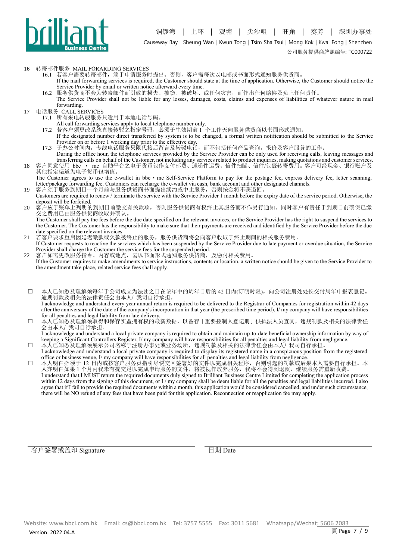

#### 16 转寄邮件服务 MAIL FORARDING SERVICES

- 16.1 若客户需要转寄邮件,须于申请服务时提出。否则,客户需每次以电邮或书面形式通知服务供货商。
	- If the mail forwarding services is required, the Customer should state at the time of application. Otherwise, the Customer should notice the Service Provider by email or written notice afterward every time.
- 16.2 服务供货商不会为转寄邮件而引致的损失、被窃、被破坏、或任何灾害,而作出任何赔偿及负上任何责任。
- The Service Provider shall not be liable for any losses, damages, costs, claims and expenses of liabilities of whatever nature in mail forwarding.
- 17 电话服务 CALL SERVICES
	- 17.1 所有来电转驳服务只适用于本地电话号码。
		- All call forwarding services apply to local telephone number only.
	- 17.2 若客户须更改系统直接转驳之指定号码,必须于生效期前 1 个工作天向服务供货商以书面形式通知。
	- If the designated number direct transferred by system is to be changed, a formal written notification should be submitted to the Service Provider on or before 1 working day prior to the effective day.
	- 17.3 于办公时间内,专线电话服务只限代接后留言及转驳电话,而不包括任何产品查询,报价及客户服务的工作。 During the office hour, the telephone services provided by the Service Provider can be only used for receiving calls, leaving messages and
- transferring calls on behalf of the Customer, not including any services related to product inquiries, making quotations and customer services. 18 客户同意使用 bbc · me 自助平台之电子货币包作支付邮费、速递件运费、信件扫瞄、信件/包裹转寄费用。客户可经现金、银行账户及 其他指定渠道为电子货币包增值。
	- The Customer agrees to use the e-wallet in bbc  $\cdot$  me Self-Service Platform to pay for the postage fee, express delivery fee, letter scanning, letter/package forwarding fee. Customers can recharge the e-wallet via cash, bank account and other designated channels.
- 19 客户须于服务到期日一个月前与服务供货商书面提出续约或中止服务,否则按金将不获退回。 Customers are required to renew / terminate the service with the Service Provider 1 month before the expiry date of the service period. Otherwise, the deposit will be forfeited.
- 20 客户应于账单上列明的到期日前缴交有关款项,否则服务供货商有权终止其服务而不作另行通知。同时客户有责任于到期日前确保已缴 交之费用已由服务供货商收取并确认。

The Customer shall pay the fees before the due date specified on the relevant invoices, or the Service Provider has the right to suspend the services to the Customer. The Customer has the responsibility to make sure that their payments are received and identified by the Service Provider before the due date specified on the relevant invoices.

- 21 若客户要求重启因延迟缴款或欠款被终止的服务,服务供货商将会向客户收取于终止期间的相关服务费用。 If Customer requests to reactive the services which has been suspended by the Service Provider due to late payment or overdue situation, the Service
- Provider shall charge the Customer the service fees for the suspended period. 22 客户如需更改服务指令、内容或地点,需以书面形式通知服务供货商,及缴付相关费用。
- If the Customer requires to make amendments to service instructions, contents or location, a written notice should be given to the Service Provider to the amendment take place, related service fees shall apply.
- □ 本人已知悉及理解须每年于公司成立为法团之日在该年中的周年日后的 42 日内(订明时限),向公司注册处处长交付周年申报表登记。 逾期罚款及相关的法律责任会由本人/ 我司自行承担。

I acknowledge and understand every year annual return is required to be delivered to the Registrar of Companies for registration within 42 days after the anniversary of the date of the company's incorporation in that year (the prescribed time period), I/ my company will have responsibilities for all penalties and legal liability from late delivery.

□ 本人已知悉及理解须取得和保存实益拥有权的最新数据,以备存「重要控制人登记册」供执法人员查阅,违规罚款及相关的法律责任 会由本人/ 我司自行承担。

#### I acknowledge and understand a local private company is required to obtain and maintain up-to-date beneficial ownership information by way of keeping a Significant Controllers Register, I/ my company will have responsibilities for all penalties and legal liability from negligence. □ 本人已知悉及理解须展示公司名称于注册办事处或业务场所,违规罚款及相关的法律责任会由本人/ 我司自行承担。

- I acknowledge and understand a local private company is required to display its registered name in a conspicuous position from the registered office or business venue, I/ my company will have responsibilities for all penalties and legal liability from negligence.
- □ 本人明白必须于 12 日内或按客户服务员指引尽快交回签署好的文件以完成相关程序,否则引起的罚款或后果本人需要自行承担。本 人亦明白如果 1 个月内我未有提交足以完成申请服务的文件,将被视作放弃服务,我将不会得到退款,继续服务需重新收费。 I understand that I MUST return the required documents duly signed to Brilliant Business Centre Limited for completing the application process within 12 days from the signing of this document, or I / my company shall be deem liable for all the penalties and legal liabilities incurred. I also agree that if I fail to provide the required documents within a month, this application would be considered cancelled, and under such circumstance, there will be NO refund of any fees that have been paid for this application. Reconnection or reapplication fee may apply.

客户签署或盖印 Signature 日期 Date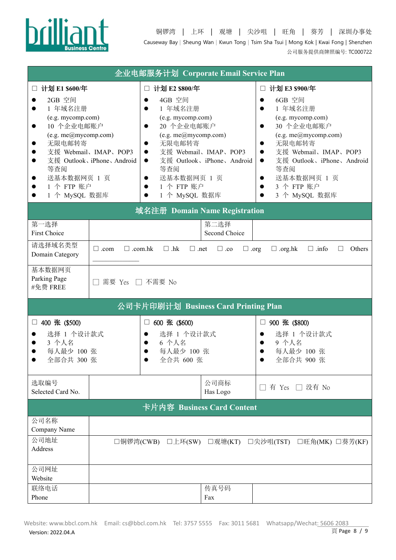

|                                                                                                                                                                                                       |                                                   | 企业电邮服务计划 Corporate Email Service Plan                                                                                                                                                                                                        |                                                   |                                                                                                                                                                                                                                                                                                                |
|-------------------------------------------------------------------------------------------------------------------------------------------------------------------------------------------------------|---------------------------------------------------|----------------------------------------------------------------------------------------------------------------------------------------------------------------------------------------------------------------------------------------------|---------------------------------------------------|----------------------------------------------------------------------------------------------------------------------------------------------------------------------------------------------------------------------------------------------------------------------------------------------------------------|
| 计划 E1 \$600/年<br>$\Box$<br>2GB 空间<br>1 年域名注册<br>(e.g. mycomp.com)<br>10 个企业电邮账户<br>$\bullet$<br>(e.g. me@mycomp.com)<br>无限电邮转寄<br>●<br>等查阅<br>送基本数据网页 1 页<br>$\bullet$<br>1 个 FTP 账户<br>1 个 MySQL 数据库 | 支援 Webmail、IMAP、POP3<br>支援 Outlook、iPhone、Android | □ 计划 E2 \$800/年<br>4GB 空间<br>1 年域名注册<br>$\bullet$<br>(e.g. mycomp.com)<br>20 个企业电邮账户<br>(e.g. me@mycomp.com)<br>无限电邮转寄<br>$\bullet$<br>$\bullet$<br>$\bullet$<br>等查阅<br>送基本数据网页 1 页<br>$\bullet$<br>1 个 FTP 账户<br>$\bullet$<br>1 个 MySQL 数据库 | 支援 Webmail、IMAP、POP3<br>支援 Outlook、iPhone、Android | □ 计划 E3 \$900/年<br>6GB 空间<br>1 年域名注册<br>$\bullet$<br>(e.g. mycomp.com)<br>30 个企业电邮账户<br>$\bullet$<br>(e.g. me@mycomp.com)<br>无限电邮转寄<br>$\bullet$<br>支援 Webmail、IMAP、POP3<br>$\bullet$<br>支援 Outlook、iPhone、Android<br>$\bullet$<br>等查阅<br>送基本数据网页 1 页<br>$\bullet$<br>3 个 FTP 账户<br>$\bullet$<br>3 个 MySQL 数据库 |
|                                                                                                                                                                                                       |                                                   | 域名注册 Domain Name Registration                                                                                                                                                                                                                |                                                   |                                                                                                                                                                                                                                                                                                                |
| 第一选择<br><b>First Choice</b>                                                                                                                                                                           |                                                   |                                                                                                                                                                                                                                              | 第二选择<br>Second Choice                             |                                                                                                                                                                                                                                                                                                                |
| 请选择域名类型<br>Domain Category                                                                                                                                                                            | $\Box$ .com.hk<br>$\Box$ .com                     | $\Box$ .hk<br>$\Box$ .net                                                                                                                                                                                                                    | $\Box$ .co<br>$\Box$ .org                         | $\Box$ .org.hk<br>$\Box$ .info<br><b>Others</b><br>Ш                                                                                                                                                                                                                                                           |
| 基本数据网页<br>Parking Page<br>#免费 FREE                                                                                                                                                                    | 需要 Yes □ 不需要 No                                   |                                                                                                                                                                                                                                              |                                                   |                                                                                                                                                                                                                                                                                                                |
|                                                                                                                                                                                                       |                                                   | 公司卡片印刷计划 Business Card Printing Plan                                                                                                                                                                                                         |                                                   |                                                                                                                                                                                                                                                                                                                |
| 400 张 (\$500)<br>$\Box$<br>选择 1 个设计款式<br>3 个人名<br>每人最少 100 张<br>全部合共 300 张                                                                                                                            |                                                   | 600 张 (\$600)<br>$\Box$<br>选择 1 个设计款式<br>$\bullet$<br>6 个人名<br>每人最少 100 张<br>全合共 600 张                                                                                                                                                       |                                                   | 900 张 (\$800)<br>□<br>选择 1 个设计款式<br>9 个人名<br>每人最少 100 张<br>全部合共 900 张                                                                                                                                                                                                                                          |
| 选取编号<br>Selected Card No.                                                                                                                                                                             |                                                   |                                                                                                                                                                                                                                              | 公司商标<br>Has Logo                                  | 有 Yes □ 没有 No                                                                                                                                                                                                                                                                                                  |
|                                                                                                                                                                                                       |                                                   | 卡片内容 Business Card Content                                                                                                                                                                                                                   |                                                   |                                                                                                                                                                                                                                                                                                                |
| 公司名称<br>Company Name                                                                                                                                                                                  |                                                   |                                                                                                                                                                                                                                              |                                                   |                                                                                                                                                                                                                                                                                                                |
| 公司地址<br>Address                                                                                                                                                                                       |                                                   | □铜锣湾(CWB) □上环(SW) □观塘(KT)                                                                                                                                                                                                                    |                                                   | □尖沙咀(TST) □旺角(MK) □葵芳(KF)                                                                                                                                                                                                                                                                                      |
| 公司网址<br>Website                                                                                                                                                                                       |                                                   |                                                                                                                                                                                                                                              |                                                   |                                                                                                                                                                                                                                                                                                                |
| 联络电话<br>Phone                                                                                                                                                                                         |                                                   |                                                                                                                                                                                                                                              | 传真号码<br>Fax                                       |                                                                                                                                                                                                                                                                                                                |